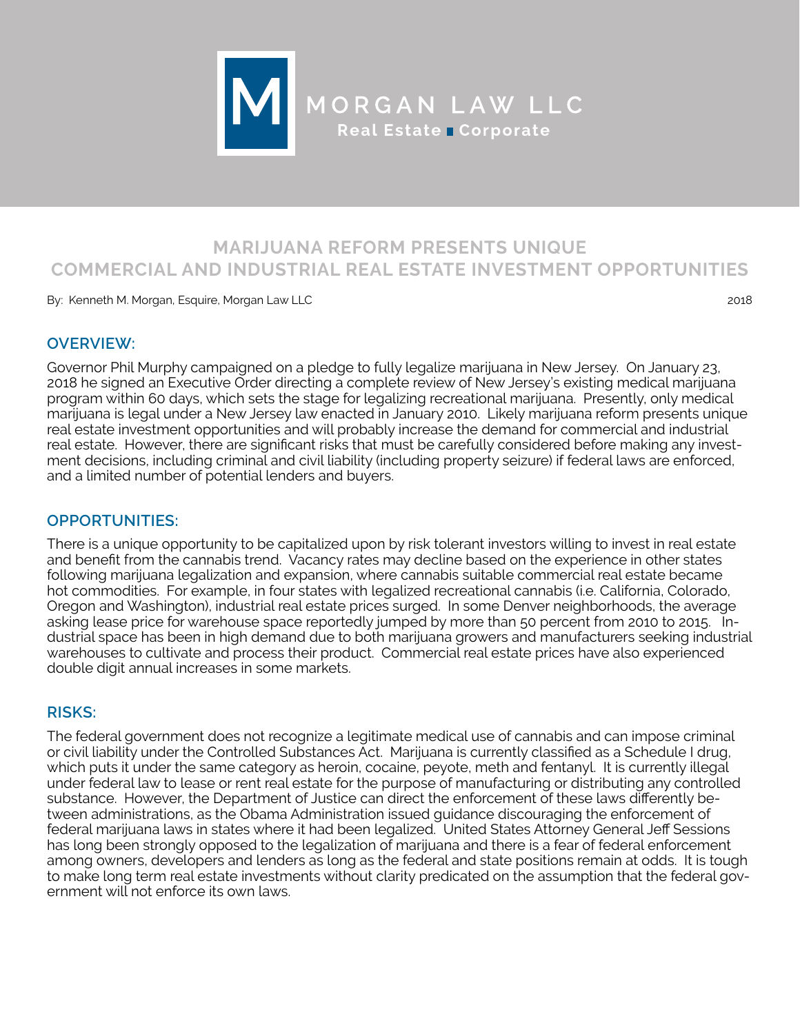

# **MARIJUANA REFORM PRESENTS UNIQUE COMMERCIAL AND INDUSTRIAL REAL ESTATE INVESTMENT OPPORTUNITIES**

By: Kenneth M. Morgan, Esquire, Morgan Law LLC 2018

### **OVERVIEW:**

Governor Phil Murphy campaigned on a pledge to fully legalize marijuana in New Jersey. On January 23, 2018 he signed an Executive Order directing a complete review of New Jersey's existing medical marijuana program within 60 days, which sets the stage for legalizing recreational marijuana. Presently, only medical marijuana is legal under a New Jersey law enacted in January 2010. Likely marijuana reform presents unique real estate investment opportunities and will probably increase the demand for commercial and industrial real estate. However, there are significant risks that must be carefully considered before making any investment decisions, including criminal and civil liability (including property seizure) if federal laws are enforced, and a limited number of potential lenders and buyers.

# **OPPORTUNITIES:**

There is a unique opportunity to be capitalized upon by risk tolerant investors willing to invest in real estate and benefit from the cannabis trend. Vacancy rates may decline based on the experience in other states following marijuana legalization and expansion, where cannabis suitable commercial real estate became hot commodities. For example, in four states with legalized recreational cannabis (i.e. California, Colorado, Oregon and Washington), industrial real estate prices surged. In some Denver neighborhoods, the average asking lease price for warehouse space reportedly jumped by more than 50 percent from 2010 to 2015. Industrial space has been in high demand due to both marijuana growers and manufacturers seeking industrial warehouses to cultivate and process their product. Commercial real estate prices have also experienced double digit annual increases in some markets.

# **RISKS:**

The federal government does not recognize a legitimate medical use of cannabis and can impose criminal or civil liability under the Controlled Substances Act. Marijuana is currently classified as a Schedule I drug, which puts it under the same category as heroin, cocaine, peyote, meth and fentanyl. It is currently illegal under federal law to lease or rent real estate for the purpose of manufacturing or distributing any controlled substance. However, the Department of Justice can direct the enforcement of these laws differently between administrations, as the Obama Administration issued guidance discouraging the enforcement of federal marijuana laws in states where it had been legalized. United States Attorney General Jeff Sessions has long been strongly opposed to the legalization of marijuana and there is a fear of federal enforcement among owners, developers and lenders as long as the federal and state positions remain at odds. It is tough to make long term real estate investments without clarity predicated on the assumption that the federal government will not enforce its own laws.